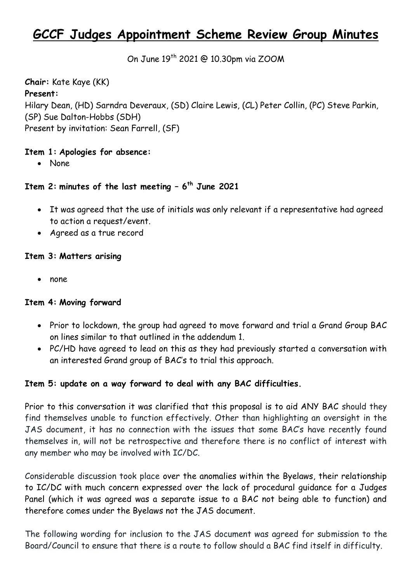# **GCCF Judges Appointment Scheme Review Group Minutes**

On June 19<sup>th</sup> 2021 @ 10.30pm via ZOOM

**Chair:** Kate Kaye (KK) **Present:**  Hilary Dean, (HD) Sarndra Deveraux, (SD) Claire Lewis, (CL) Peter Collin, (PC) Steve Parkin, (SP) Sue Dalton-Hobbs (SDH) Present by invitation: Sean Farrell, (SF)

## **Item 1: Apologies for absence:**

None

# **Item 2: minutes of the last meeting – 6 th June 2021**

- It was agreed that the use of initials was only relevant if a representative had agreed to action a request/event.
- Agreed as a true record

#### **Item 3: Matters arising**

• none

#### **Item 4: Moving forward**

- Prior to lockdown, the group had agreed to move forward and trial a Grand Group BAC on lines similar to that outlined in the addendum 1.
- PC/HD have agreed to lead on this as they had previously started a conversation with an interested Grand group of BAC's to trial this approach.

## **Item 5: update on a way forward to deal with any BAC difficulties.**

Prior to this conversation it was clarified that this proposal is to aid ANY BAC should they find themselves unable to function effectively. Other than highlighting an oversight in the JAS document, it has no connection with the issues that some BAC's have recently found themselves in, will not be retrospective and therefore there is no conflict of interest with any member who may be involved with IC/DC.

Considerable discussion took place over the anomalies within the Byelaws, their relationship to IC/DC with much concern expressed over the lack of procedural guidance for a Judges Panel (which it was agreed was a separate issue to a BAC not being able to function) and therefore comes under the Byelaws not the JAS document.

The following wording for inclusion to the JAS document was agreed for submission to the Board/Council to ensure that there is a route to follow should a BAC find itself in difficulty.